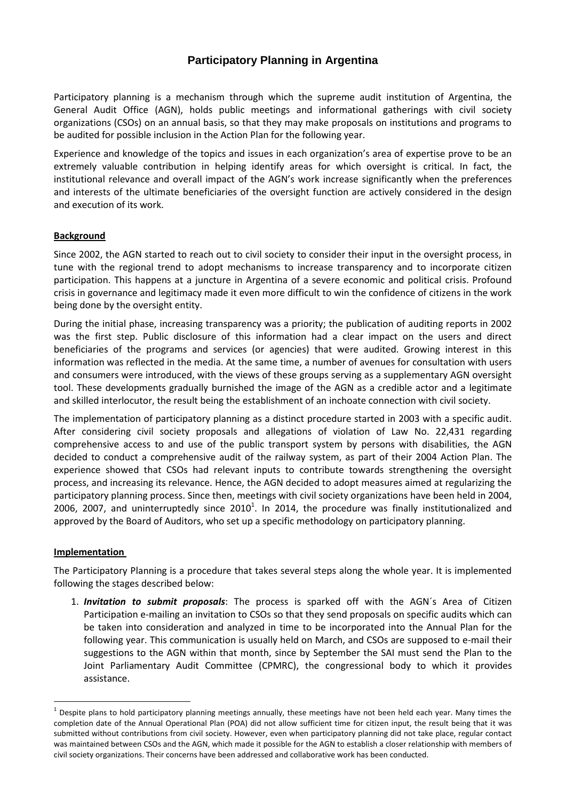# **Participatory Planning in Argentina**

Participatory planning is a mechanism through which the supreme audit institution of Argentina, the General Audit Office (AGN), holds public meetings and informational gatherings with civil society organizations (CSOs) on an annual basis, so that they may make proposals on institutions and programs to be audited for possible inclusion in the Action Plan for the following year.

Experience and knowledge of the topics and issues in each organization's area of expertise prove to be an extremely valuable contribution in helping identify areas for which oversight is critical. In fact, the institutional relevance and overall impact of the AGN's work increase significantly when the preferences and interests of the ultimate beneficiaries of the oversight function are actively considered in the design and execution of its work.

## **Background**

Since 2002, the AGN started to reach out to civil society to consider their input in the oversight process, in tune with the regional trend to adopt mechanisms to increase transparency and to incorporate citizen participation. This happens at a juncture in Argentina of a severe economic and political crisis. Profound crisis in governance and legitimacy made it even more difficult to win the confidence of citizens in the work being done by the oversight entity.

During the initial phase, increasing transparency was a priority; the publication of auditing reports in 2002 was the first step. Public disclosure of this information had a clear impact on the users and direct beneficiaries of the programs and services (or agencies) that were audited. Growing interest in this information was reflected in the media. At the same time, a number of avenues for consultation with users and consumers were introduced, with the views of these groups serving as a supplementary AGN oversight tool. These developments gradually burnished the image of the AGN as a credible actor and a legitimate and skilled interlocutor, the result being the establishment of an inchoate connection with civil society.

The implementation of participatory planning as a distinct procedure started in 2003 with a specific audit. After considering civil society proposals and allegations of violation of Law No. 22,431 regarding comprehensive access to and use of the public transport system by persons with disabilities, the AGN decided to conduct a comprehensive audit of the railway system, as part of their 2004 Action Plan. The experience showed that CSOs had relevant inputs to contribute towards strengthening the oversight process, and increasing its relevance. Hence, the AGN decided to adopt measures aimed at regularizing the participatory planning process. Since then, meetings with civil society organizations have been held in 2004, 2006, 2007, and uninterruptedly since  $2010<sup>1</sup>$ . In 2014, the procedure was finally institutionalized and approved by the Board of Auditors, who set up a specific methodology on participatory planning.

#### **Implementation**

-

The Participatory Planning is a procedure that takes several steps along the whole year. It is implemented following the stages described below:

1. *Invitation to submit proposals*: The process is sparked off with the AGN´s Area of Citizen Participation e-mailing an invitation to CSOs so that they send proposals on specific audits which can be taken into consideration and analyzed in time to be incorporated into the Annual Plan for the following year. This communication is usually held on March, and CSOs are supposed to e-mail their suggestions to the AGN within that month, since by September the SAI must send the Plan to the Joint Parliamentary Audit Committee (CPMRC), the congressional body to which it provides assistance.

<sup>1</sup> Despite plans to hold participatory planning meetings annually, these meetings have not been held each year. Many times the completion date of the Annual Operational Plan (POA) did not allow sufficient time for citizen input, the result being that it was submitted without contributions from civil society. However, even when participatory planning did not take place, regular contact was maintained between CSOs and the AGN, which made it possible for the AGN to establish a closer relationship with members of civil society organizations. Their concerns have been addressed and collaborative work has been conducted.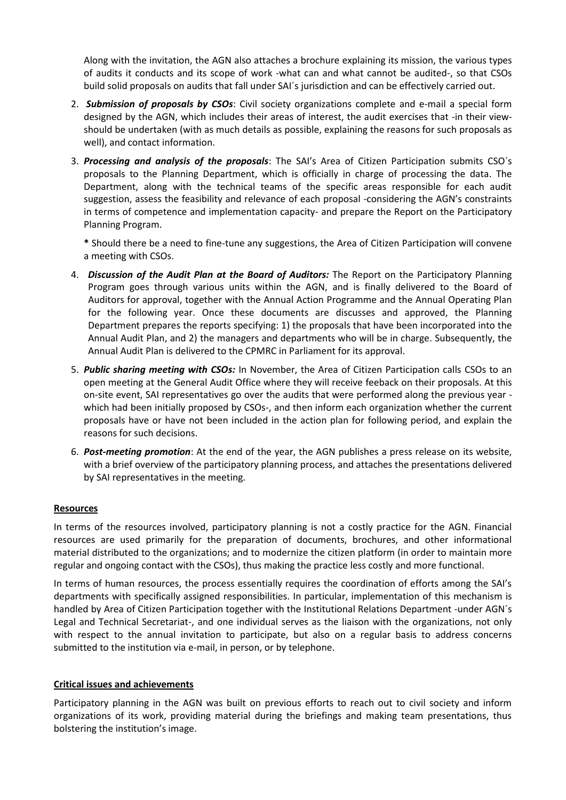Along with the invitation, the AGN also attaches a brochure explaining its mission, the various types of audits it conducts and its scope of work -what can and what cannot be audited-, so that CSOs build solid proposals on audits that fall under SAI´s jurisdiction and can be effectively carried out.

- 2. *Submission of proposals by CSOs*: Civil society organizations complete and e-mail a special form designed by the AGN, which includes their areas of interest, the audit exercises that -in their viewshould be undertaken (with as much details as possible, explaining the reasons for such proposals as well), and contact information.
- 3. *Processing and analysis of the proposals*: The SAI's Area of Citizen Participation submits CSO´s proposals to the Planning Department, which is officially in charge of processing the data. The Department, along with the technical teams of the specific areas responsible for each audit suggestion, assess the feasibility and relevance of each proposal -considering the AGN's constraints in terms of competence and implementation capacity- and prepare the Report on the Participatory Planning Program.

**\*** Should there be a need to fine-tune any suggestions, the Area of Citizen Participation will convene a meeting with CSOs.

- 4. *Discussion of the Audit Plan at the Board of Auditors:* The Report on the Participatory Planning Program goes through various units within the AGN, and is finally delivered to the Board of Auditors for approval, together with the Annual Action Programme and the Annual Operating Plan for the following year. Once these documents are discusses and approved, the Planning Department prepares the reports specifying: 1) the proposals that have been incorporated into the Annual Audit Plan, and 2) the managers and departments who will be in charge. Subsequently, the Annual Audit Plan is delivered to the CPMRC in Parliament for its approval.
- 5. *Public sharing meeting with CSOs:* In November, the Area of Citizen Participation calls CSOs to an open meeting at the General Audit Office where they will receive feeback on their proposals. At this on-site event, SAI representatives go over the audits that were performed along the previous year which had been initially proposed by CSOs-, and then inform each organization whether the current proposals have or have not been included in the action plan for following period, and explain the reasons for such decisions.
- 6. *Post-meeting promotion*: At the end of the year, the AGN publishes a press release on its website, with a brief overview of the participatory planning process, and attaches the presentations delivered by SAI representatives in the meeting.

## **Resources**

In terms of the resources involved, participatory planning is not a costly practice for the AGN. Financial resources are used primarily for the preparation of documents, brochures, and other informational material distributed to the organizations; and to modernize the citizen platform (in order to maintain more regular and ongoing contact with the CSOs), thus making the practice less costly and more functional.

In terms of human resources, the process essentially requires the coordination of efforts among the SAI's departments with specifically assigned responsibilities. In particular, implementation of this mechanism is handled by Area of Citizen Participation together with the Institutional Relations Department -under AGN´s Legal and Technical Secretariat-, and one individual serves as the liaison with the organizations, not only with respect to the annual invitation to participate, but also on a regular basis to address concerns submitted to the institution via e-mail, in person, or by telephone.

#### **Critical issues and achievements**

Participatory planning in the AGN was built on previous efforts to reach out to civil society and inform organizations of its work, providing material during the briefings and making team presentations, thus bolstering the institution's image.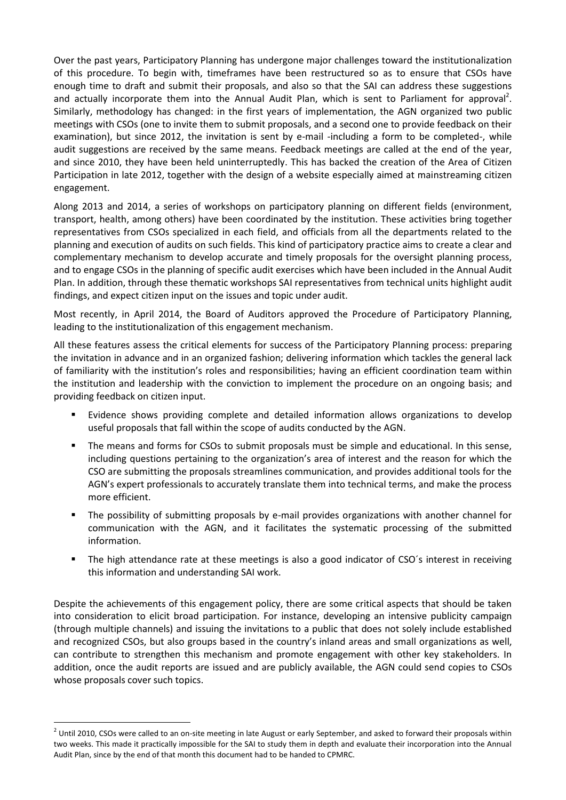Over the past years, Participatory Planning has undergone major challenges toward the institutionalization of this procedure. To begin with, timeframes have been restructured so as to ensure that CSOs have enough time to draft and submit their proposals, and also so that the SAI can address these suggestions and actually incorporate them into the Annual Audit Plan, which is sent to Parliament for approval<sup>2</sup>. Similarly, methodology has changed: in the first years of implementation, the AGN organized two public meetings with CSOs (one to invite them to submit proposals, and a second one to provide feedback on their examination), but since 2012, the invitation is sent by e-mail -including a form to be completed-, while audit suggestions are received by the same means. Feedback meetings are called at the end of the year, and since 2010, they have been held uninterruptedly. This has backed the creation of the Area of Citizen Participation in late 2012, together with the design of a website especially aimed at mainstreaming citizen engagement.

Along 2013 and 2014, a series of workshops on participatory planning on different fields (environment, transport, health, among others) have been coordinated by the institution. These activities bring together representatives from CSOs specialized in each field, and officials from all the departments related to the planning and execution of audits on such fields. This kind of participatory practice aims to create a clear and complementary mechanism to develop accurate and timely proposals for the oversight planning process, and to engage CSOs in the planning of specific audit exercises which have been included in the Annual Audit Plan. In addition, through these thematic workshops SAI representatives from technical units highlight audit findings, and expect citizen input on the issues and topic under audit.

Most recently, in April 2014, the Board of Auditors approved the Procedure of Participatory Planning, leading to the institutionalization of this engagement mechanism.

All these features assess the critical elements for success of the Participatory Planning process: preparing the invitation in advance and in an organized fashion; delivering information which tackles the general lack of familiarity with the institution's roles and responsibilities; having an efficient coordination team within the institution and leadership with the conviction to implement the procedure on an ongoing basis; and providing feedback on citizen input.

- Evidence shows providing complete and detailed information allows organizations to develop useful proposals that fall within the scope of audits conducted by the AGN.
- The means and forms for CSOs to submit proposals must be simple and educational. In this sense, including questions pertaining to the organization's area of interest and the reason for which the CSO are submitting the proposals streamlines communication, and provides additional tools for the AGN's expert professionals to accurately translate them into technical terms, and make the process more efficient.
- The possibility of submitting proposals by e-mail provides organizations with another channel for communication with the AGN, and it facilitates the systematic processing of the submitted information.
- The high attendance rate at these meetings is also a good indicator of CSO´s interest in receiving this information and understanding SAI work.

Despite the achievements of this engagement policy, there are some critical aspects that should be taken into consideration to elicit broad participation. For instance, developing an intensive publicity campaign (through multiple channels) and issuing the invitations to a public that does not solely include established and recognized CSOs, but also groups based in the country's inland areas and small organizations as well, can contribute to strengthen this mechanism and promote engagement with other key stakeholders. In addition, once the audit reports are issued and are publicly available, the AGN could send copies to CSOs whose proposals cover such topics.

-

 $^2$  Until 2010, CSOs were called to an on-site meeting in late August or early September, and asked to forward their proposals within two weeks. This made it practically impossible for the SAI to study them in depth and evaluate their incorporation into the Annual Audit Plan, since by the end of that month this document had to be handed to CPMRC.